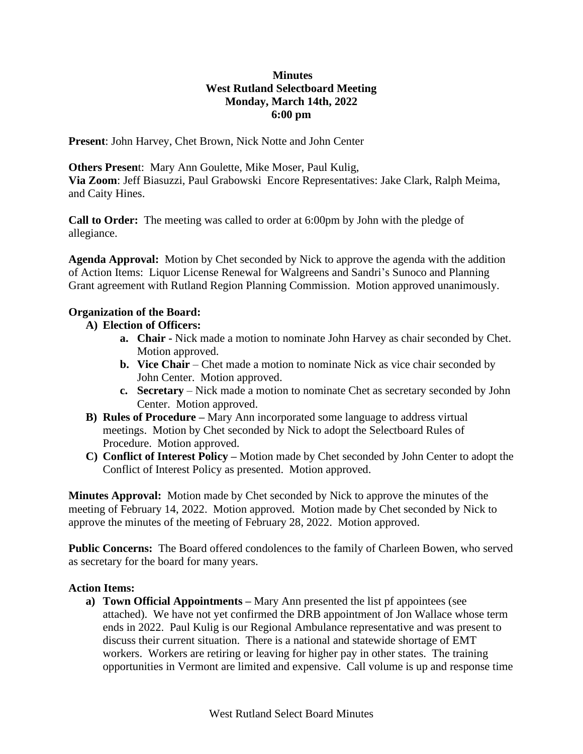## **Minutes West Rutland Selectboard Meeting Monday, March 14th, 2022 6:00 pm**

**Present**: John Harvey, Chet Brown, Nick Notte and John Center

**Others Presen**t: Mary Ann Goulette, Mike Moser, Paul Kulig, **Via Zoom**: Jeff Biasuzzi, Paul Grabowski Encore Representatives: Jake Clark, Ralph Meima, and Caity Hines.

**Call to Order:** The meeting was called to order at 6:00pm by John with the pledge of allegiance.

**Agenda Approval:** Motion by Chet seconded by Nick to approve the agenda with the addition of Action Items: Liquor License Renewal for Walgreens and Sandri's Sunoco and Planning Grant agreement with Rutland Region Planning Commission. Motion approved unanimously.

### **Organization of the Board:**

# **A) Election of Officers:**

- **a. Chair -** Nick made a motion to nominate John Harvey as chair seconded by Chet. Motion approved.
- **b. Vice Chair** Chet made a motion to nominate Nick as vice chair seconded by John Center. Motion approved.
- **c. Secretary**  Nick made a motion to nominate Chet as secretary seconded by John Center. Motion approved.
- **B) Rules of Procedure –** Mary Ann incorporated some language to address virtual meetings. Motion by Chet seconded by Nick to adopt the Selectboard Rules of Procedure. Motion approved.
- **C) Conflict of Interest Policy –** Motion made by Chet seconded by John Center to adopt the Conflict of Interest Policy as presented. Motion approved.

**Minutes Approval:** Motion made by Chet seconded by Nick to approve the minutes of the meeting of February 14, 2022. Motion approved. Motion made by Chet seconded by Nick to approve the minutes of the meeting of February 28, 2022. Motion approved.

**Public Concerns:** The Board offered condolences to the family of Charleen Bowen, who served as secretary for the board for many years.

# **Action Items:**

**a) Town Official Appointments –** Mary Ann presented the list pf appointees (see attached). We have not yet confirmed the DRB appointment of Jon Wallace whose term ends in 2022. Paul Kulig is our Regional Ambulance representative and was present to discuss their current situation. There is a national and statewide shortage of EMT workers. Workers are retiring or leaving for higher pay in other states. The training opportunities in Vermont are limited and expensive. Call volume is up and response time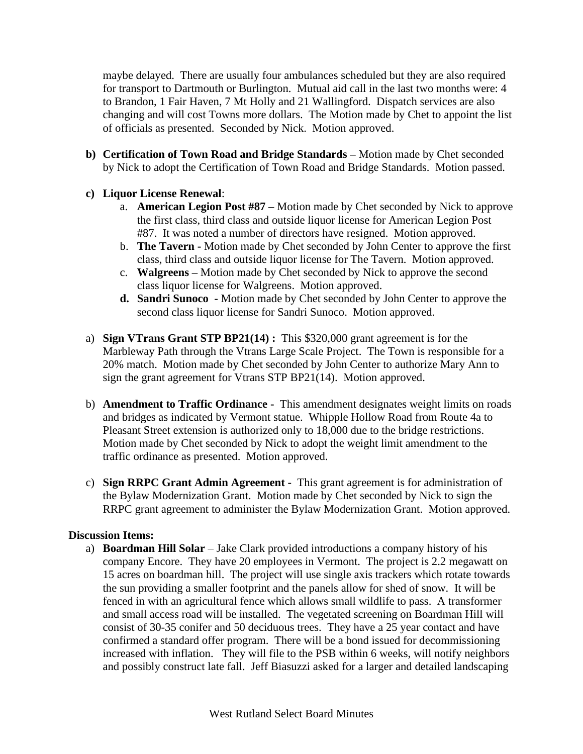maybe delayed. There are usually four ambulances scheduled but they are also required for transport to Dartmouth or Burlington. Mutual aid call in the last two months were: 4 to Brandon, 1 Fair Haven, 7 Mt Holly and 21 Wallingford. Dispatch services are also changing and will cost Towns more dollars. The Motion made by Chet to appoint the list of officials as presented. Seconded by Nick. Motion approved.

- **b) Certification of Town Road and Bridge Standards –** Motion made by Chet seconded by Nick to adopt the Certification of Town Road and Bridge Standards. Motion passed.
- **c) Liquor License Renewal**:
	- a. **American Legion Post #87 –** Motion made by Chet seconded by Nick to approve the first class, third class and outside liquor license for American Legion Post #87. It was noted a number of directors have resigned. Motion approved.
	- b. **The Tavern -** Motion made by Chet seconded by John Center to approve the first class, third class and outside liquor license for The Tavern. Motion approved.
	- c. **Walgreens –** Motion made by Chet seconded by Nick to approve the second class liquor license for Walgreens. Motion approved.
	- **d. Sandri Sunoco -** Motion made by Chet seconded by John Center to approve the second class liquor license for Sandri Sunoco. Motion approved.
- a) **Sign VTrans Grant STP BP21(14) :** This \$320,000 grant agreement is for the Marbleway Path through the Vtrans Large Scale Project. The Town is responsible for a 20% match. Motion made by Chet seconded by John Center to authorize Mary Ann to sign the grant agreement for Vtrans STP BP21(14). Motion approved.
- b) **Amendment to Traffic Ordinance -** This amendment designates weight limits on roads and bridges as indicated by Vermont statue. Whipple Hollow Road from Route 4a to Pleasant Street extension is authorized only to 18,000 due to the bridge restrictions. Motion made by Chet seconded by Nick to adopt the weight limit amendment to the traffic ordinance as presented. Motion approved.
- c) **Sign RRPC Grant Admin Agreement -** This grant agreement is for administration of the Bylaw Modernization Grant. Motion made by Chet seconded by Nick to sign the RRPC grant agreement to administer the Bylaw Modernization Grant. Motion approved.

#### **Discussion Items:**

a) **Boardman Hill Solar** – Jake Clark provided introductions a company history of his company Encore. They have 20 employees in Vermont. The project is 2.2 megawatt on 15 acres on boardman hill. The project will use single axis trackers which rotate towards the sun providing a smaller footprint and the panels allow for shed of snow. It will be fenced in with an agricultural fence which allows small wildlife to pass. A transformer and small access road will be installed. The vegetated screening on Boardman Hill will consist of 30-35 conifer and 50 deciduous trees. They have a 25 year contact and have confirmed a standard offer program. There will be a bond issued for decommissioning increased with inflation. They will file to the PSB within 6 weeks, will notify neighbors and possibly construct late fall. Jeff Biasuzzi asked for a larger and detailed landscaping